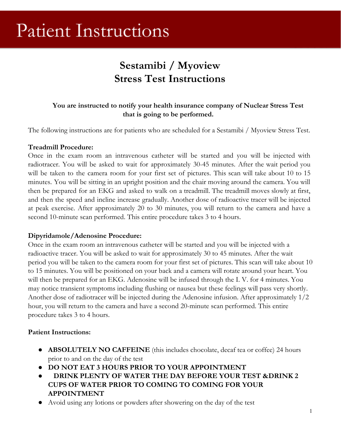# **Patient Instructions**

# **Sestamibi / Myoview Stress Test Instructions**

### **You are instructed to notify your health insurance company of Nuclear Stress Test that is going to be performed.**

The following instructions are for patients who are scheduled for a Sestamibi / Myoview Stress Test.

#### **Treadmill Procedure:**

Once in the exam room an intravenous catheter will be started and you will be injected with radiotracer. You will be asked to wait for approximately 30-45 minutes. After the wait period you will be taken to the camera room for your first set of pictures. This scan will take about 10 to 15 minutes. You will be sitting in an upright position and the chair moving around the camera. You will then be prepared for an EKG and asked to walk on a treadmill. The treadmill moves slowly at first, and then the speed and incline increase gradually. Another dose of radioactive tracer will be injected at peak exercise. After approximately 20 to 30 minutes, you will return to the camera and have a second 10-minute scan performed. This entire procedure takes 3 to 4 hours.

#### **Dipyridamole/Adenosine Procedure:**

Once in the exam room an intravenous catheter will be started and you will be injected with a radioactive tracer. You will be asked to wait for approximately 30 to 45 minutes. After the wait period you will be taken to the camera room for your first set of pictures. This scan will take about 10 to 15 minutes. You will be positioned on your back and a camera will rotate around your heart. You will then be prepared for an EKG. Adenosine will be infused through the I. V. for 4 minutes. You may notice transient symptoms including flushing or nausea but these feelings will pass very shortly. Another dose of radiotracer will be injected during the Adenosine infusion. After approximately 1/2 hour, you will return to the camera and have a second 20-minute scan performed. This entire procedure takes 3 to 4 hours.

#### **Patient Instructions:**

- **ABSOLUTELY NO CAFFEINE** (this includes chocolate, decaf tea or coffee) 24 hours prior to and on the day of the test
- **DO NOT EAT 3 HOURS PRIOR TO YOUR APPOINTMENT**
- **DRINK PLENTY OF WATER THE DAY BEFORE YOUR TEST &DRINK 2 CUPS OF WATER PRIOR TO COMING TO COMING FOR YOUR APPOINTMENT**
- Avoid using any lotions or powders after showering on the day of the test